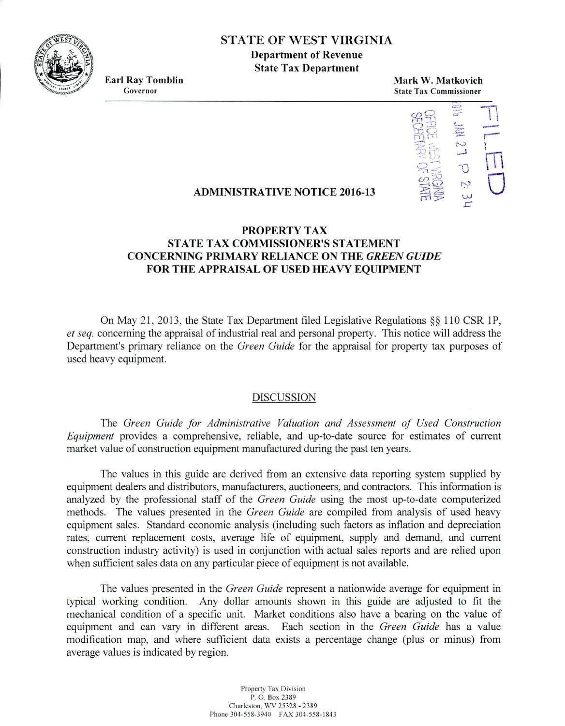STATE OF WEST VIRGINIA

**Department of Revenue State Tax Department**

Earl Ra**<sup>y</sup> Tomblin Governor**

**Mark W. Matkovich State Tax Commissioner**



## **ADMINISTRATIVE NOTICE 2016-13**

# **PROPERTY TAX STATE TAX COMMISSIONER'S STATEMENT CONCERNING PRIMARY RELIANCE ON THE** *GREEN GUIDE* **FOR THE APPRAISAL OF USED HEAVY EQUIPMENT**

On May 21, 2013, the State Tax Department filed Legislative Regulations  $\S$  110 CSR 1P, *ci seq.* concerning the appraisal of industrial real and personal property. This notice will address the Department's primary reliance on the *Green Guide* for the appraisal for property tax purposes of used heavy equipment.

### DISCUSSION

The *Green Guide for Administrative Valuation and Assessment of Used Construction Equipment* provides a comprehensive, reliable, and up-to-date source for estimates of current market value of construction equipment manufactured during the past ten years.

The values in this guide are derived from an extensive data reporting system supplied by equipment dealers and distributors, manufacturers, auctioneers, and contractors. This information is analyzed by the professional staff of the *Green Guide* using the most up-to-date computerized methods. The values presented in the *Green Guide* are compiled from analysis of used heavy equipment sales. Standard economic analysis (including such factors as inflation and depreciation rates, current replacement costs, average life of equipment, supply and demand, and current construction industry activity) is used in conjunction with actual sales reports and are relied upon when sufficient sales data on any particular piece of equipment is not available.

The values presented in the *Green Guide* represent a nationwide average for equipment in typical working condition. Any dollar amounts shown in this guide are adjusted to fit the mechanical condition of a specific unit. Market conditions also have a bearing on the value of equipment and can vary in different areas. Each section in the *Green Guide* has a value modification map, and where sufficient data exists a percentage change (plus or minus) from average values is indicated by region.

> Property Tax Division P. 0. Box 2389 Charleston, WV 25328 . 2389 Phone 304-558-3940 FAX 304-558-1843